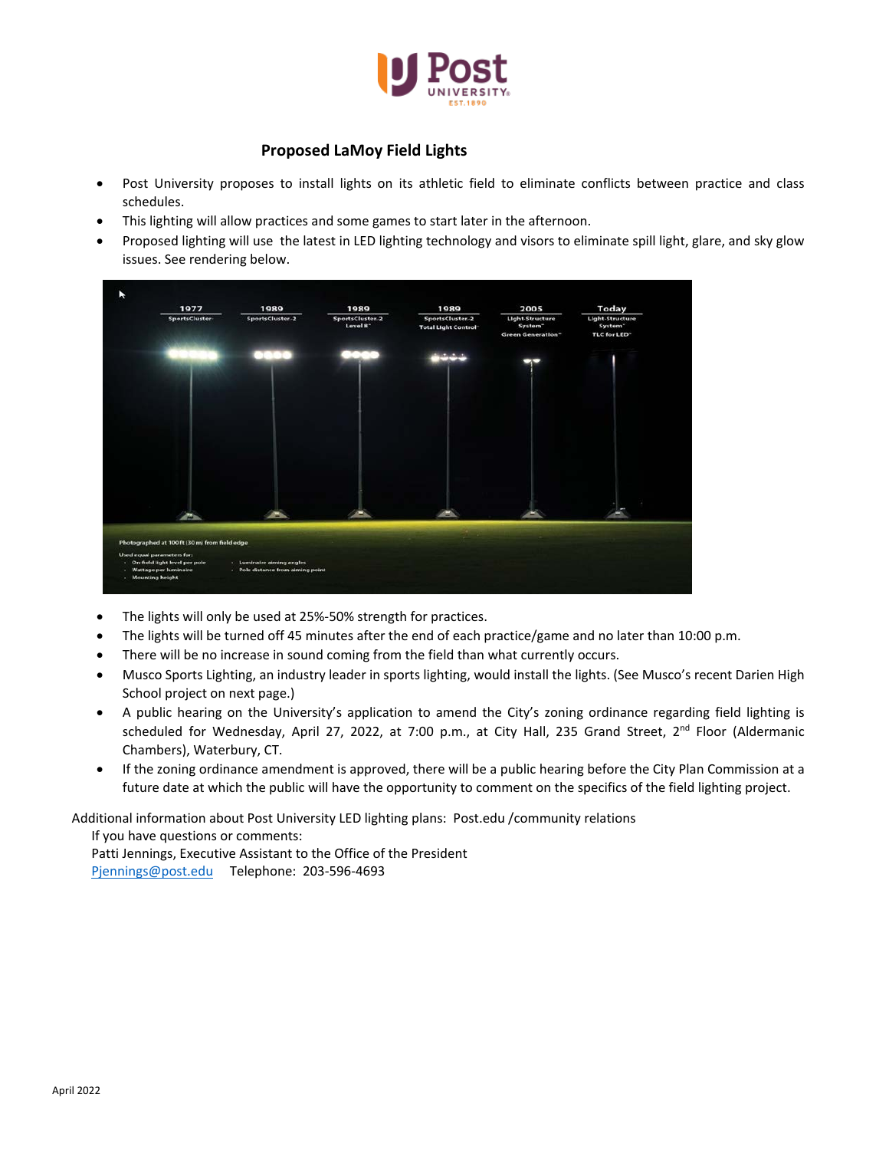

## **Proposed LaMoy Field Lights**

- Post University proposes to install lights on its athletic field to eliminate conflicts between practice and class schedules.
- This lighting will allow practices and some games to start later in the afternoon.
- Proposed lighting will use the latest in LED lighting technology and visors to eliminate spill light, glare, and sky glow issues. See rendering below.

| 1977<br>SportsCluster-                                        | 1989<br>SportsCluster-2   | 1989<br>SportsCluster-2 | 1989<br>SportsCluster-2    | 2005<br>Light-Structure      | Today<br>Light-Structure            |
|---------------------------------------------------------------|---------------------------|-------------------------|----------------------------|------------------------------|-------------------------------------|
|                                                               |                           | Level 8 <sup>-</sup>    | <b>Total Light Control</b> | System"<br>Green Generation" | System <sup>-</sup><br>TLC for LED" |
|                                                               |                           |                         |                            |                              |                                     |
|                                                               |                           |                         |                            |                              |                                     |
|                                                               |                           |                         |                            |                              |                                     |
|                                                               |                           |                         |                            |                              |                                     |
|                                                               |                           |                         |                            |                              |                                     |
|                                                               |                           |                         |                            |                              |                                     |
|                                                               |                           |                         |                            |                              |                                     |
| - 1                                                           | -                         |                         |                            |                              |                                     |
| Photographed at 100 ft (30 m) from field edge                 |                           |                         |                            |                              |                                     |
| Used equal parameters for:<br>- On-field light level per pole | - Luminaire aiming angles |                         |                            |                              |                                     |

- The lights will only be used at 25%-50% strength for practices.
- The lights will be turned off 45 minutes after the end of each practice/game and no later than 10:00 p.m.
- There will be no increase in sound coming from the field than what currently occurs.
- Musco Sports Lighting, an industry leader in sports lighting, would install the lights. (See Musco's recent Darien High School project on next page.)
- A public hearing on the University's application to amend the City's zoning ordinance regarding field lighting is scheduled for Wednesday, April 27, 2022, at 7:00 p.m., at City Hall, 235 Grand Street, 2<sup>nd</sup> Floor (Aldermanic Chambers), Waterbury, CT.
- If the zoning ordinance amendment is approved, there will be a public hearing before the City Plan Commission at a future date at which the public will have the opportunity to comment on the specifics of the field lighting project.

Additional information about Post University LED lighting plans: Post.edu /community relations

If you have questions or comments: Patti Jennings, Executive Assistant to the Office of the President [Pjennings@post.edu](mailto:Pjennings@post.edu) Telephone: 203-596-4693